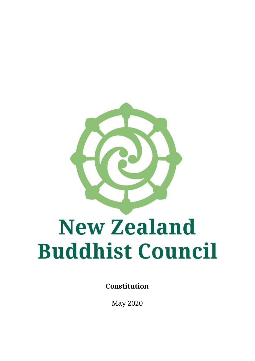

**Constitution** 

May 2020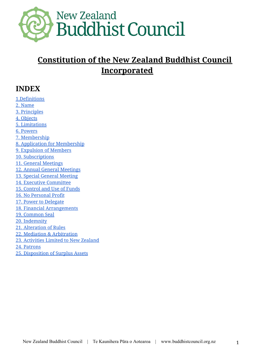

# **Constitution of the New Zealand Buddhist Council Incorporated**

#### **INDEX**

1.Definitions 2. Name 3. Principles 4. Objects 5. Limitations 6. Powers 7. Membership 8. Application for Membership 9. Expulsion of Members 10. Subscriptions 11. General Meetings 12. Annual General Meetings 13. Special General Meeting 14. Executive Committee 15. Control and Use of Funds 16. No Personal Profit 17. Power to Delegate 18. Financial Arrangements 19. Common Seal 20. Indemnity 21. Alteration of Rules 22. Mediation & Arbitration 23. Activities Limited to New Zealand 24. Patrons 25. Disposition of Surplus Assets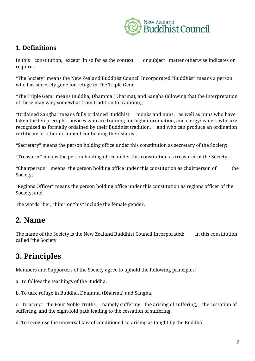

#### **1. Definitions**

In this constitution, except in so far as the context or subject matter otherwise indicates or requires:

"The Society" means the New Zealand Buddhist Council Incorporated."Buddhist" means a person who has sincerely gone for refuge in The Triple Gem;

"The Triple Gem" means Buddha, Dhamma (Dharma), and Sangha (allowing that the interpretation of these may vary somewhat from tradition to tradition);

"Ordained Sangha" means fully ordained Buddhist monks and nuns, as well as nuns who have taken the ten precepts, novices who are training for higher ordination, and clergy/leaders who are recognized as formally ordained by their Buddhist tradition, and who can produce an ordination certificate or other document confirming their status.

"Secretary" means the person holding office under this constitution as secretary of the Society;

"Treasurer" means the person holding office under this constitution as treasurer of the Society;

"Chairperson" means the person holding office under this constitution as chairperson of the Society;

"Regions Officer" means the person holding office under this constitution as regions officer of the Society; and

The words "he", "him" or "his" include the female gender.

#### **2. Name**

The name of the Society is the New Zealand Buddhist Council Incorporated; in this constitution called "the Society".

# **3. Principles**

Members and Supporters of the Society agree to uphold the following principles:

a. To follow the teachings of the Buddha.

b. To take refuge in Buddha, Dhamma (Dharma) and Sangha.

c. To accept the Four Noble Truths, namely suffering, the arising of suffering, the cessation of suffering, and the eight-fold path leading to the cessation of suffering.

d. To recognise the universal law of conditioned co-arising as taught by the Buddha.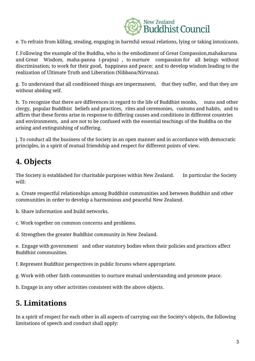

e. To refrain from killing, stealing, engaging in harmful sexual relations, lying or taking intoxicants.

f. Following the example of the Buddha, who is the embodiment of Great Compassion,mahakaruna and Great Wisdom, maha-panna (-prajna) , to nurture compassion for all beings without discrimination; to work for their good, happiness and peace; and to develop wisdom leading to the realization of Ultimate Truth and Liberation (Nibbana/Nirvana).

g. To understand that all conditioned things are impermanent, that they suffer, and that they are without abiding self.

h. To recognise that there are differences in regard to the life of Buddhist monks, nuns and other clergy, popular Buddhist beliefs and practices, rites and ceremonies, customs and habits, and to affirm that these forms arise in response to differing causes and conditions in different countries and environments, and are not to be confused with the essential teachings of the Buddha on the arising and extinguishing of suffering.

j. To conduct all the business of the Society in an open manner and in accordance with democratic principles, in a spirit of mutual friendship and respect for different points of view.

# **4. Objects**

The Society is established for charitable purposes within New Zealand. In particular the Society will:

a. Create respectful relationships among Buddhist communities and between Buddhist and other communities in order to develop a harmonious and peaceful New Zealand.

b. Share information and build networks.

c. Work together on common concerns and problems.

d. Strengthen the greater Buddhist community in New Zealand.

e. Engage with government and other statutory bodies when their policies and practices affect Buddhist communities.

f. Represent Buddhist perspectives in public forums where appropriate.

g. Work with other faith communities to nurture mutual understanding and promote peace.

h. Engage in any other activities consistent with the above objects.

#### **5. Limitations**

In a spirit of respect for each other in all aspects of carrying out the Society's objects, the following limitations of speech and conduct shall apply: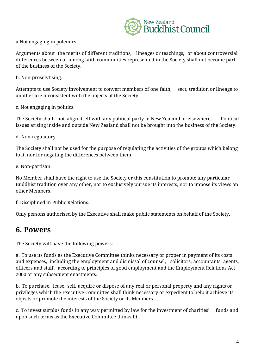

a.Not engaging in polemics.

Arguments about the merits of different traditions, lineages or teachings, or about controversial differences between or among faith communities represented in the Society shall not become part of the business of the Society.

b. Non-proselytising.

Attempts to use Society involvement to convert members of one faith, sect, tradition or lineage to another are inconsistent with the objects of the Society.

c. Not engaging in politics.

The Society shall not align itself with any political party in New Zealand or elsewhere. Political issues arising inside and outside New Zealand shall not be brought into the business of the Society.

d. Non-regulatory.

The Society shall not be used for the purpose of regulating the activities of the groups which belong to it, nor for negating the differences between them.

e. Non-partisan.

No Member shall have the right to use the Society or this constitution to promote any particular Buddhist tradition over any other, nor to exclusively pursue its interests, nor to impose its views on other Members.

f. Disciplined in Public Relations.

Only persons authorised by the Executive shall make public statements on behalf of the Society.

#### **6. Powers**

The Society will have the following powers:

a. To use its funds as the Executive Committee thinks necessary or proper in payment of its costs and expenses, including the employment and dismissal of counsel, solicitors, accountants, agents, officers and staff, according to principles of good employment and the Employment Relations Act 2000 or any subsequent enactments.

b. To purchase, lease, sell, acquire or dispose of any real or personal property and any rights or privileges which the Executive Committee shall think necessary or expedient to help it achieve its objects or promote the interests of the Society or its Members.

c. To invest surplus funds in any way permitted by law for the investment of charities' funds and upon such terms as the Executive Committee thinks fit.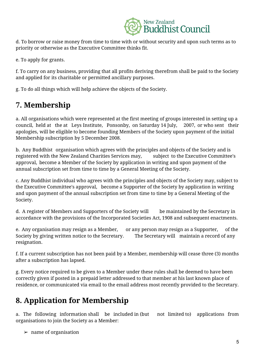

d. To borrow or raise money from time to time with or without security and upon such terms as to priority or otherwise as the Executive Committee thinks fit.

e. To apply for grants.

f. To carry on any business, providing that all profits deriving therefrom shall be paid to the Society and applied for its charitable or permitted ancillary purposes.

g. To do all things which will help achieve the objects of the Society.

# **7. Membership**

a. All organisations which were represented at the first meeting of groups interested in setting up a council, held at the at Leys Institute, Ponsonby, on Saturday 14 July, 2007, or who sent their apologies, will be eligible to become founding Members of the Society upon payment of the initial Membership subscription by 5 December 2008.

b. Any Buddhist organisation which agrees with the principles and objects of the Society and is registered with the New Zealand Charities Services may, subject to the Executive Committee's approval, become a Member of the Society by application in writing and upon payment of the annual subscription set from time to time by a General Meeting of the Society.

c. Any Buddhist individual who agrees with the principles and objects of the Society may, subject to the Executive Committee's approval, become a Supporter of the Society by application in writing and upon payment of the annual subscription set from time to time by a General Meeting of the Society.

d. A register of Members and Supporters of the Society will be maintained by the Secretary in accordance with the provisions of the Incorporated Societies Act, 1908 and subsequent enactments.

e. Any organisation may resign as a Member, or any person may resign as a Supporter, of the Society by giving written notice to the Secretary. The Secretary will maintain a record of any resignation.

f. If a current subscription has not been paid by a Member, membership will cease three (3) months after a subscription has lapsed.

g. Every notice required to be given to a Member under these rules shall be deemed to have been correctly given if posted in a prepaid letter addressed to that member at his last known place of residence, or communicated via email to the email address most recently provided to the Secretary.

# **8. Application for Membership**

a. The following information shall be included in (but not limited to) applications from organisations to join the Society as a Member:

 $\blacktriangleright$  name of organisation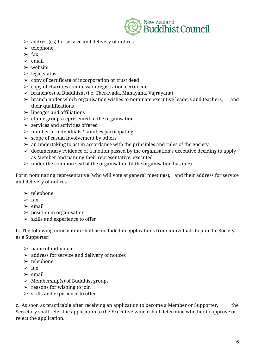

- $\triangleright$  address(es) for service and delivery of notices
- $\blacktriangleright$  telephone
- $\geq$  fax
- $\ge$  email
- $\triangleright$  website
- $\blacktriangleright$  legal status
- $\geq$  copy of certificate of incorporation or trust deed
- $\geq$  copy of charities commission registration certificate
- $\geq$  branch(es) of Buddhism (i.e. Theravada, Mahayana, Vajrayana)
- $\geq$  branch under which organisation wishes to nominate executive leaders and teachers, and their qualifications
- $\geq$  lineages and affiliations
- $\ge$  ethnic groups represented in the organisation
- $\ge$  services and activities offered
- $\geq$  number of individuals / families participating
- $\geq$  scope of casual involvement by others
- $\geq$  an undertaking to act in accordance with the principles and rules of the Society
- $\geq$  documentary evidence of a motion passed by the organisation's executive deciding to apply as Member and naming their representative, executed
- $\triangleright$  under the common seal of the organisation (if the organisation has one).

Form nominating representative (who will vote at general meetings), and their address for service and delivery of notices

- $\blacktriangleright$  telephone
- $\triangleright$  fax
- $\triangleright$  email
- $\blacktriangleright$  position in organisation
- $>$  skills and experience to offer

b. The following information shall be included in applications from individuals to join the Society as a Supporter:

- $\triangleright$  name of individual
- $\geq$  address for service and delivery of notices
- $\blacktriangleright$  telephone
- $\triangleright$  fax
- $\ge$  email
- $\triangleright$  Membership(s) of Buddhist groups
- $\blacktriangleright$  reasons for wishing to join
- $\geq$  skills and experience to offer

c. As soon as practicable after receiving an application to become a Member or Supporter, the Secretary shall refer the application to the Executive which shall determine whether to approve or reject the application.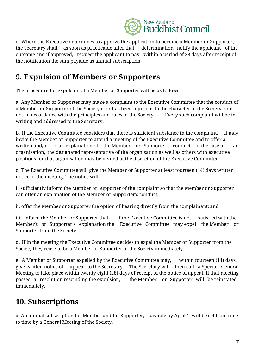

d. Where the Executive determines to approve the application to become a Member or Supporter, the Secretary shall, as soon as practicable after that determination, notify the applicant of the outcome and if approved, request the applicant to pay, within a period of 28 days after receipt of the notification the sum payable as annual subscription.

## **9. Expulsion of Members or Supporters**

The procedure for expulsion of a Member or Supporter will be as follows:

a. Any Member or Supporter may make a complaint to the Executive Committee that the conduct of a Member or Supporter of the Society is or has been injurious to the character of the Society, or is not in accordance with the principles and rules of the Society. Every such complaint will be in writing and addressed to the Secretary.

b. If the Executive Committee considers that there is sufficient substance in the complaint, it may invite the Member or Supporter to attend a meeting of the Executive Committee and to offer a written and/or oral explanation of the Member or Supporter's conduct. In the case of an organisation, the designated representative of the organisation as well as others with executive positions for that organisation may be invited at the discretion of the Executive Committee.

c. The Executive Committee will give the Member or Supporter at least fourteen (14) days written notice of the meeting. The notice will:

i. sufficiently inform the Member or Supporter of the complaint so that the Member or Supporter can offer an explanation of the Member or Supporter's conduct;

ii. offer the Member or Supporter the option of hearing directly from the complainant; and

iii. inform the Member or Supporter that if the Executive Committee is not satisfied with the Member's or Supporter's explanation the Executive Committee may expel the Member or Supporter from the Society.

d. If in the meeting the Executive Committee decides to expel the Member or Supporter from the Society they cease to be a Member or Supporter of the Society immediately.

e. A Member or Supporter expelled by the Executive Committee may, within fourteen (14) days, give written notice of appeal to the Secretary. The Secretary will then call a Special General Meeting to take place within twenty eight (28) days of receipt of the notice of appeal. If that meeting passes a resolution rescinding the expulsion, the Member or Supporter will be reinstated immediately.

# **10. Subscriptions**

a. An annual subscription for Member and for Supporter, payable by April 1, will be set from time to time by a General Meeting of the Society.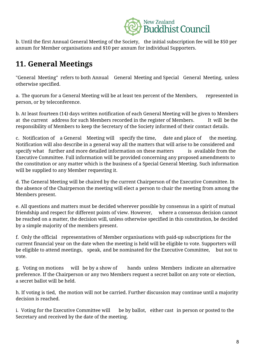

b. Until the first Annual General Meeting of the Society, the initial subscription fee will be \$50 per annum for Member organisations and \$10 per annum for individual Supporters.

## **11. General Meetings**

"General Meeting" refers to both Annual General Meeting and Special General Meeting, unless otherwise specified.

a. The quorum for a General Meeting will be at least ten percent of the Members, represented in person, or by teleconference.

b. At least fourteen (14) days written notification of each General Meeting will be given to Members at the current address for such Members recorded in the register of Members. It will be the responsibility of Members to keep the Secretary of the Society informed of their contact details.

c. Notification of a General Meeting will specify the time, date and place of the meeting. Notification will also describe in a general way all the matters that will arise to be considered and specify what further and more detailed information on these matters is available from the Executive Committee. Full information will be provided concerning any proposed amendments to the constitution or any matter which is the business of a Special General Meeting. Such information will be supplied to any Member requesting it.

d. The General Meeting will be chaired by the current Chairperson of the Executive Committee. In the absence of the Chairperson the meeting will elect a person to chair the meeting from among the Members present.

e. All questions and matters must be decided wherever possible by consensus in a spirit of mutual friendship and respect for different points of view. However, where a consensus decision cannot be reached on a matter, the decision will, unless otherwise specified in this constitution, be decided by a simple majority of the members present.

f. Only the official representatives of Member organisations with paid-up subscriptions for the current financial year on the date when the meeting is held will be eligible to vote. Supporters will be eligible to attend meetings, speak, and be nominated for the Executive Committee, but not to vote.

g. Voting on motions will be by a show of hands unless Members indicate an alternative preference. If the Chairperson or any two Members request a secret ballot on any vote or election, a secret ballot will be held.

h. If voting is tied, the motion will not be carried. Further discussion may continue until a majority decision is reached.

i. Voting for the Executive Committee will be by ballot, either cast in person or posted to the Secretary and received by the date of the meeting.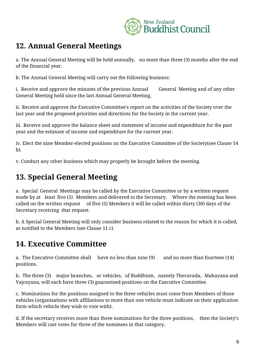

#### **12. Annual General Meetings**

a. The Annual General Meeting will be held annually, no more than three (3) months after the end of the financial year.

b. The Annual General Meeting will carry out the following business:

i. Receive and approve the minutes of the previous Annual General Meeting and of any other General Meeting held since the last Annual General Meeting.

ii. Receive and approve the Executive Committee's report on the activities of the Society over the last year and the proposed priorities and directions for the Society in the current year.

iii. Receive and approve the balance sheet and statement of income and expenditure for the past year and the estimate of income and expenditure for the current year.

iv. Elect the nine Member-elected positions on the Executive Committee of the Society(see Clause 14 b).

v. Conduct any other business which may properly be brought before the meeting.

## **13. Special General Meeting**

a. Special General Meetings may be called by the Executive Committee or by a written request made by at least five (5) Members and delivered to the Secretary. Where the meeting has been called on the written request of five (5) Members it will be called within thirty (30) days of the Secretary receiving that request.

b. A Special General Meeting will only consider business related to the reason for which it is called, as notified to the Members (see Clause 11 c).

## **14. Executive Committee**

a. The Executive Committee shall have no less than nine (9) and no more than fourteen (14) positions.

b. The three (3) major branches, or vehicles, of Buddhism, namely Theravada, Mahayana and Vajrayana, will each have three (3) guaranteed positions on the Executive Committee.

c. Nominations for the positions assigned to the three vehicles must come from Members of those vehicles (organisations with affiliations to more than one vehicle must indicate on their application form which vehicle they wish to vote with).

d. If the secretary receives more than three nominations for the three positions, then the Society's Members will cast votes for three of the nominees in that category.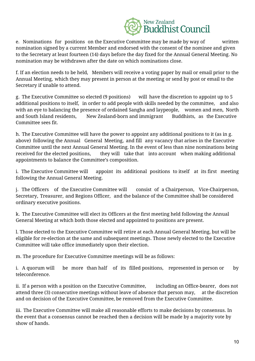

e. Nominations for positions on the Executive Committee may be made by way of written nomination signed by a current Member and endorsed with the consent of the nominee and given to the Secretary at least fourteen (14) days before the day fixed for the Annual General Meeting. No nomination may be withdrawn after the date on which nominations close.

f. If an election needs to be held, Members will receive a voting paper by mail or email prior to the Annual Meeting, which they may present in person at the meeting or send by post or email to the Secretary if unable to attend.

g. The Executive Committee so elected (9 positions) will have the discretion to appoint up to 5 additional positions to itself, in order to add people with skills needed by the committee, and also with an eye to balancing the presence of ordained Sangha and laypeople, women and men, North and South Island residents, New Zealand-born and immigrant Buddhists, as the Executive Committee sees fit.

h. The Executive Committee will have the power to appoint any additional positions to it (as in g. above) following the Annual General Meeting, and fill any vacancy that arises in the Executive Committee until the next Annual General Meeting. In the event of less than nine nominations being received for the elected positions, they will take that into account when making additional appointments to balance the Committee's composition.

i. The Executive Committee will appoint its additional positions to itself at its first meeting following the Annual General Meeting.

j. The Officers of the Executive Committee will consist of a Chairperson, Vice-Chairperson, Secretary, Treasurer, and Regions Officer, and the balance of the Committee shall be considered ordinary executive positions.

k. The Executive Committee will elect its Officers at the first meeting held following the Annual General Meeting at which both those elected and appointed to positions are present.

l. Those elected to the Executive Committee will retire at each Annual General Meeting, but will be eligible for re-election at the same and subsequent meetings. Those newly elected to the Executive Committee will take office immediately upon their election.

m. The procedure for Executive Committee meetings will be as follows:

i. A quorum will be more than half of its filled positions, represented in person or by teleconference.

ii. If a person with a position on the Executive Committee, including an Office-bearer, does not attend three (3) consecutive meetings without leave of absence that person may, at the discretion and on decision of the Executive Committee, be removed from the Executive Committee.

iii. The Executive Committee will make all reasonable efforts to make decisions by consensus. In the event that a consensus cannot be reached then a decision will be made by a majority vote by show of hands.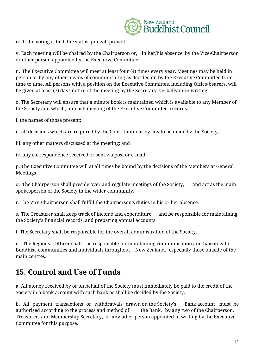

iv. If the voting is tied, the status quo will prevail.

v. Each meeting will be chaired by the Chairperson or, in her/his absence, by the Vice-Chairperson or other person appointed by the Executive Committee.

n. The Executive Committee will meet at least four (4) times every year. Meetings may be held in person or by any other means of communicating as decided on by the Executive Committee from time to time. All persons with a position on the Executive Committee, including Office-bearers, will be given at least (7) days notice of the meeting by the Secretary, verbally or in writing.

o. The Secretary will ensure that a minute book is maintained which is available to any Member of the Society and which, for each meeting of the Executive Committee, records:

i. the names of those present;

ii. all decisions which are required by the Constitution or by law to be made by the Society;

iii. any other matters discussed at the meeting; and

iv. any correspondence received or sent via post or e-mail.

p. The Executive Committee will at all times be bound by the decisions of the Members at General Meetings.

q. The Chairperson shall preside over and regulate meetings of the Society, and act as the main spokesperson of the Society in the wider community.

r. The Vice-Chairperson shall fulfill the Chairperson's duties in his or her absence.

s. The Treasurer shall keep track of income and expenditure, and be responsible for maintaining the Society's financial records, and preparing annual accounts.

t. The Secretary shall be responsible for the overall administration of the Society.

u. The Regions Officer shall be responsible for maintaining communication and liaison with Buddhist communities and individuals throughout New Zealand, especially those outside of the main centres.

#### **15. Control and Use of Funds**

a. All money received by or on behalf of the Society must immediately be paid to the credit of the Society in a bank account with such bank as shall be decided by the Society.

b. All payment transactions or withdrawals drawn on the Society's Bank account must be authorised according to the process and method of the Bank, by any two of the Chairperson, Treasurer, and Membership Secretary, or any other person appointed in writing by the Executive Committee for this purpose.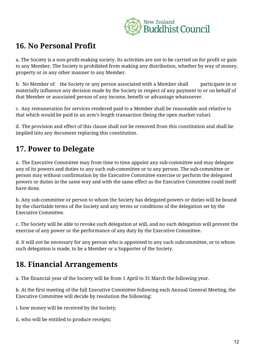

#### **16. No Personal Profit**

a. The Society is a non-profit-making society. Its activities are not to be carried on for profit or gain to any Member. The Society is prohibited from making any distribution, whether by way of money, property or in any other manner to any Member.

b. No Member of the Society or any person associated with a Member shall participate in or materially influence any decision made by the Society in respect of any payment to or on behalf of that Member or associated person of any income, benefit or advantage whatsoever.

c. Any remuneration for services rendered paid to a Member shall be reasonable and relative to that which would be paid in an arm's length transaction (being the open market value).

d. The provision and effect of this clause shall not be removed from this constitution and shall be implied into any document replacing this constitution.

# **17. Power to Delegate**

a. The Executive Committee may from time to time appoint any sub-committee and may delegate any of its powers and duties to any such sub-committee or to any person. The sub-committee or person may without confirmation by the Executive Committee exercise or perform the delegated powers or duties in the same way and with the same effect as the Executive Committee could itself have done.

b. Any sub-committee or person to whom the Society has delegated powers or duties will be bound by the charitable terms of the Society and any terms or conditions of the delegation set by the Executive Committee.

c. The Society will be able to revoke such delegation at will, and no such delegation will prevent the exercise of any power or the performance of any duty by the Executive Committee.

d. It will not be necessary for any person who is appointed to any such subcommittee, or to whom such delegation is made, to be a Member or a Supporter of the Society.

## **18. Financial Arrangements**

a. The financial year of the Society will be from 1 April to 31 March the following year.

b. At the first meeting of the full Executive Committee following each Annual General Meeting, the Executive Committee will decide by resolution the following:

i. how money will be received by the Society;

ii. who will be entitled to produce receipts;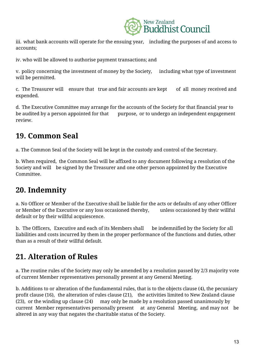

iii. what bank accounts will operate for the ensuing year, including the purposes of and access to accounts;

iv. who will be allowed to authorise payment transactions; and

v. policy concerning the investment of money by the Society, including what type of investment will be permitted.

c. The Treasurer will ensure that true and fair accounts are kept of all money received and expended.

d. The Executive Committee may arrange for the accounts of the Society for that financial year to be audited by a person appointed for that purpose, or to undergo an independent engagement review.

## **19. Common Seal**

a. The Common Seal of the Society will be kept in the custody and control of the Secretary.

b. When required, the Common Seal will be affixed to any document following a resolution of the Society and will be signed by the Treasurer and one other person appointed by the Executive Committee.

# **20. Indemnity**

a. No Officer or Member of the Executive shall be liable for the acts or defaults of any other Officer or Member of the Executive or any loss occasioned thereby, unless occasioned by their willful default or by their willful acquiescence.

b. The Officers, Executive and each of its Members shall be indemnified by the Society for all liabilities and costs incurred by them in the proper performance of the functions and duties, other than as a result of their willful default.

# **21. Alteration of Rules**

a. The routine rules of the Society may only be amended by a resolution passed by 2/3 majority vote of current Member representatives personally present at any General Meeting.

b. Additions to or alteration of the fundamental rules, that is to the objects clause (4), the pecuniary profit clause (16), the alteration of rules clause (21), the activities limited to New Zealand clause (23), or the winding up clause (24) may only be made by a resolution passed unanimously by current Member representatives personally present at any General Meeting, and may not be altered in any way that negates the charitable status of the Society.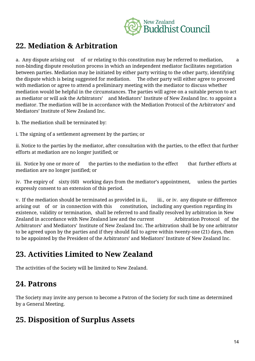

#### **22. Mediation & Arbitration**

a. Any dispute arising out of or relating to this constitution may be referred to mediation, a non-binding dispute resolution process in which an independent mediator facilitates negotiation between parties. Mediation may be initiated by either party writing to the other party, identifying the dispute which is being suggested for mediation. The other party will either agree to proceed with mediation or agree to attend a preliminary meeting with the mediator to discuss whether mediation would be helpful in the circumstances. The parties will agree on a suitable person to act as mediator or will ask the Arbitrators' and Mediators' Institute of New Zealand Inc. to appoint a mediator. The mediation will be in accordance with the Mediation Protocol of the Arbitrators' and Mediators' Institute of New Zealand Inc.

b. The mediation shall be terminated by:

i. The signing of a settlement agreement by the parties; or

ii. Notice to the parties by the mediator, after consultation with the parties, to the effect that further efforts at mediation are no longer justified; or

iii. Notice by one or more of the parties to the mediation to the effect that further efforts at mediation are no longer justified; or

iv. The expiry of sixty (60) working days from the mediator's appointment, unless the parties expressly consent to an extension of this period.

v. If the mediation should be terminated as provided in ii., iii., or iv. any dispute or difference arising out of or in connection with this constitution, including any question regarding its existence, validity or termination, shall be referred to and finally resolved by arbitration in New Zealand in accordance with New Zealand law and the current Arbitration Protocol of the Arbitrators' and Mediators' Institute of New Zealand Inc. The arbitration shall be by one arbitrator to be agreed upon by the parties and if they should fail to agree within twenty-one (21) days, then to be appointed by the President of the Arbitrators' and Mediators' Institute of New Zealand Inc.

## **23. Activities Limited to New Zealand**

The activities of the Society will be limited to New Zealand.

## **24. Patrons**

The Society may invite any person to become a Patron of the Society for such time as determined by a General Meeting.

#### **25. Disposition of Surplus Assets**